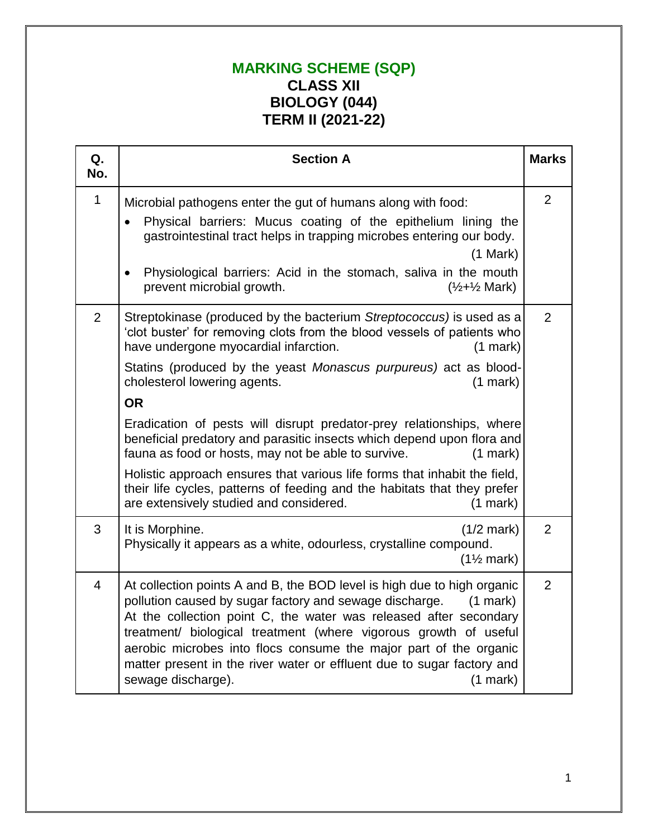## **MARKING SCHEME (SQP) CLASS XII BIOLOGY (044) TERM II (2021-22)**

| Q.<br>No.      | <b>Section A</b>                                                                                                                                                                                                                                                                                                                                                                                                                                                                   |                |
|----------------|------------------------------------------------------------------------------------------------------------------------------------------------------------------------------------------------------------------------------------------------------------------------------------------------------------------------------------------------------------------------------------------------------------------------------------------------------------------------------------|----------------|
| $\mathbf 1$    | Microbial pathogens enter the gut of humans along with food:<br>Physical barriers: Mucus coating of the epithelium lining the<br>gastrointestinal tract helps in trapping microbes entering our body.<br>(1 Mark)<br>Physiological barriers: Acid in the stomach, saliva in the mouth<br>$\bullet$<br>prevent microbial growth.<br>$(\frac{1}{2} + \frac{1}{2})$ Mark)                                                                                                             | $\overline{2}$ |
| $\overline{2}$ | Streptokinase (produced by the bacterium Streptococcus) is used as a<br>'clot buster' for removing clots from the blood vessels of patients who<br>have undergone myocardial infarction.<br>$(1$ mark $)$<br>Statins (produced by the yeast Monascus purpureus) act as blood-<br>cholesterol lowering agents.<br>$(1$ mark)<br><b>OR</b><br>Eradication of pests will disrupt predator-prey relationships, where                                                                   | $\overline{2}$ |
|                | beneficial predatory and parasitic insects which depend upon flora and<br>fauna as food or hosts, may not be able to survive.<br>$(1$ mark)<br>Holistic approach ensures that various life forms that inhabit the field,<br>their life cycles, patterns of feeding and the habitats that they prefer<br>are extensively studied and considered.<br>$(1$ mark)                                                                                                                      |                |
| 3              | It is Morphine.<br>$(1/2$ mark)<br>Physically it appears as a white, odourless, crystalline compound.<br>$(1\frac{1}{2}$ mark)                                                                                                                                                                                                                                                                                                                                                     | $\overline{2}$ |
| $\overline{4}$ | At collection points A and B, the BOD level is high due to high organic<br>pollution caused by sugar factory and sewage discharge.<br>$(1$ mark $)$<br>At the collection point C, the water was released after secondary<br>treatment/ biological treatment (where vigorous growth of useful<br>aerobic microbes into flocs consume the major part of the organic<br>matter present in the river water or effluent due to sugar factory and<br>sewage discharge).<br>$(1$ mark $)$ | $\overline{2}$ |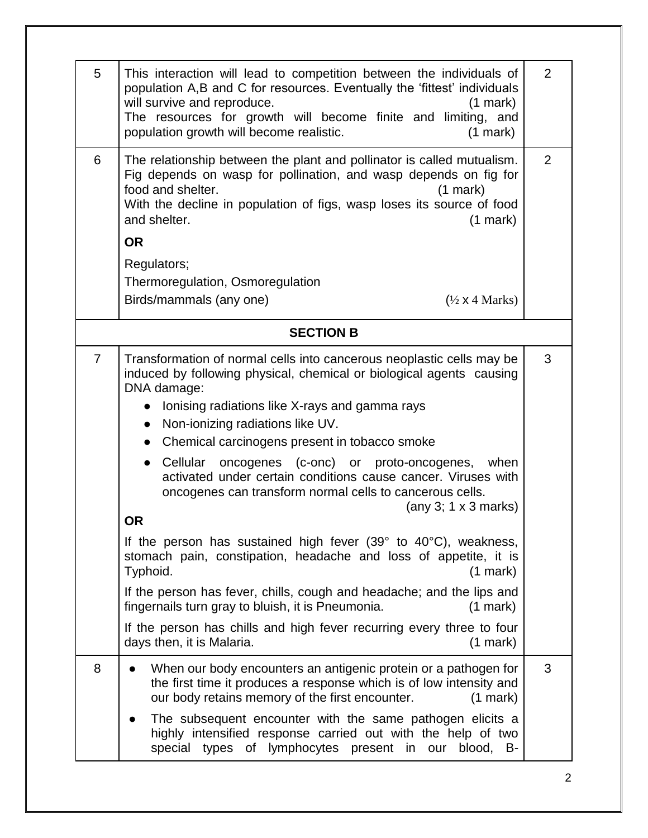| $\overline{2}$<br>This interaction will lead to competition between the individuals of<br>population A,B and C for resources. Eventually the 'fittest' individuals<br>will survive and reproduce.<br>$(1 \text{ mark})$<br>The resources for growth will become finite and limiting, and<br>population growth will become realistic.<br>$(1$ mark $)$<br>$\overline{2}$<br>The relationship between the plant and pollinator is called mutualism.<br>Fig depends on wasp for pollination, and wasp depends on fig for<br>food and shelter.<br>$(1$ mark)<br>With the decline in population of figs, wasp loses its source of food<br>and shelter.<br>$(1 \text{ mark})$<br><b>OR</b><br>Regulators;<br>Thermoregulation, Osmoregulation<br>Birds/mammals (any one)<br>$(\frac{1}{2} \times 4 \text{ Marks})$<br><b>SECTION B</b><br>3<br>Transformation of normal cells into cancerous neoplastic cells may be<br>induced by following physical, chemical or biological agents causing<br>DNA damage:<br>Ionising radiations like X-rays and gamma rays<br>Non-ionizing radiations like UV.<br>$\bullet$<br>Chemical carcinogens present in tobacco smoke<br>$\bullet$<br>Cellular oncogenes (c-onc) or proto-oncogenes,<br>when<br>$\bullet$<br>activated under certain conditions cause cancer. Viruses with<br>oncogenes can transform normal cells to cancerous cells.<br>(any 3; $1 \times 3$ marks)<br><b>OR</b><br>If the person has sustained high fever $(39° to 40°C)$ , weakness,<br>stomach pain, constipation, headache and loss of appetite, it is<br>Typhoid.<br>$(1$ mark $)$<br>If the person has fever, chills, cough and headache; and the lips and<br>fingernails turn gray to bluish, it is Pneumonia.<br>$(1$ mark)<br>If the person has chills and high fever recurring every three to four<br>days then, it is Malaria.<br>$(1$ mark)<br>3<br>When our body encounters an antigenic protein or a pathogen for<br>the first time it produces a response which is of low intensity and<br>our body retains memory of the first encounter.<br>$(1$ mark)<br>The subsequent encounter with the same pathogen elicits a |                |                                                              |  |  |  |
|--------------------------------------------------------------------------------------------------------------------------------------------------------------------------------------------------------------------------------------------------------------------------------------------------------------------------------------------------------------------------------------------------------------------------------------------------------------------------------------------------------------------------------------------------------------------------------------------------------------------------------------------------------------------------------------------------------------------------------------------------------------------------------------------------------------------------------------------------------------------------------------------------------------------------------------------------------------------------------------------------------------------------------------------------------------------------------------------------------------------------------------------------------------------------------------------------------------------------------------------------------------------------------------------------------------------------------------------------------------------------------------------------------------------------------------------------------------------------------------------------------------------------------------------------------------------------------------------------------------------------------------------------------------------------------------------------------------------------------------------------------------------------------------------------------------------------------------------------------------------------------------------------------------------------------------------------------------------------------------------------------------------------------------------------------------------------------------------------------------------------------------------|----------------|--------------------------------------------------------------|--|--|--|
|                                                                                                                                                                                                                                                                                                                                                                                                                                                                                                                                                                                                                                                                                                                                                                                                                                                                                                                                                                                                                                                                                                                                                                                                                                                                                                                                                                                                                                                                                                                                                                                                                                                                                                                                                                                                                                                                                                                                                                                                                                                                                                                                            | 5              |                                                              |  |  |  |
|                                                                                                                                                                                                                                                                                                                                                                                                                                                                                                                                                                                                                                                                                                                                                                                                                                                                                                                                                                                                                                                                                                                                                                                                                                                                                                                                                                                                                                                                                                                                                                                                                                                                                                                                                                                                                                                                                                                                                                                                                                                                                                                                            | 6              |                                                              |  |  |  |
|                                                                                                                                                                                                                                                                                                                                                                                                                                                                                                                                                                                                                                                                                                                                                                                                                                                                                                                                                                                                                                                                                                                                                                                                                                                                                                                                                                                                                                                                                                                                                                                                                                                                                                                                                                                                                                                                                                                                                                                                                                                                                                                                            |                |                                                              |  |  |  |
|                                                                                                                                                                                                                                                                                                                                                                                                                                                                                                                                                                                                                                                                                                                                                                                                                                                                                                                                                                                                                                                                                                                                                                                                                                                                                                                                                                                                                                                                                                                                                                                                                                                                                                                                                                                                                                                                                                                                                                                                                                                                                                                                            |                |                                                              |  |  |  |
|                                                                                                                                                                                                                                                                                                                                                                                                                                                                                                                                                                                                                                                                                                                                                                                                                                                                                                                                                                                                                                                                                                                                                                                                                                                                                                                                                                                                                                                                                                                                                                                                                                                                                                                                                                                                                                                                                                                                                                                                                                                                                                                                            |                |                                                              |  |  |  |
|                                                                                                                                                                                                                                                                                                                                                                                                                                                                                                                                                                                                                                                                                                                                                                                                                                                                                                                                                                                                                                                                                                                                                                                                                                                                                                                                                                                                                                                                                                                                                                                                                                                                                                                                                                                                                                                                                                                                                                                                                                                                                                                                            |                |                                                              |  |  |  |
|                                                                                                                                                                                                                                                                                                                                                                                                                                                                                                                                                                                                                                                                                                                                                                                                                                                                                                                                                                                                                                                                                                                                                                                                                                                                                                                                                                                                                                                                                                                                                                                                                                                                                                                                                                                                                                                                                                                                                                                                                                                                                                                                            | $\overline{7}$ |                                                              |  |  |  |
|                                                                                                                                                                                                                                                                                                                                                                                                                                                                                                                                                                                                                                                                                                                                                                                                                                                                                                                                                                                                                                                                                                                                                                                                                                                                                                                                                                                                                                                                                                                                                                                                                                                                                                                                                                                                                                                                                                                                                                                                                                                                                                                                            | 8              | highly intensified response carried out with the help of two |  |  |  |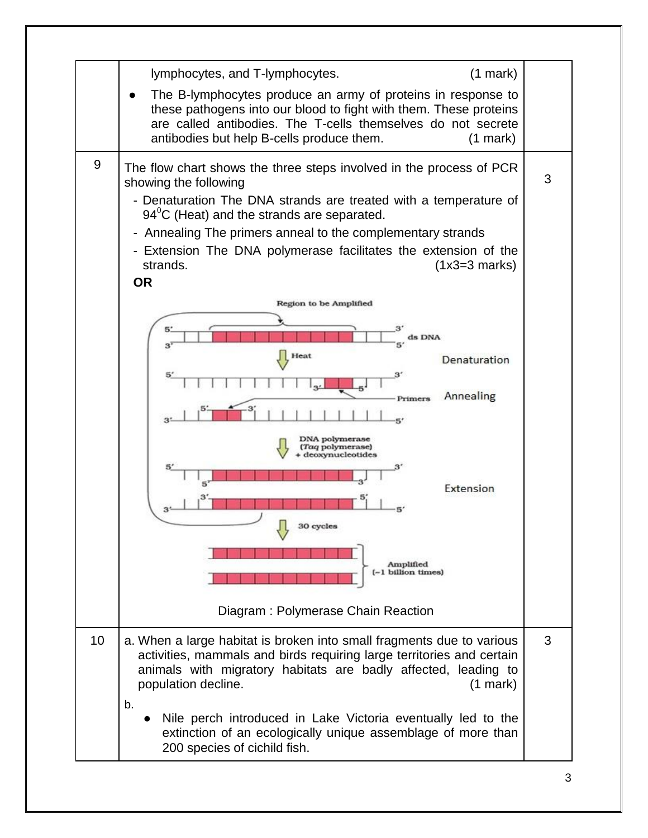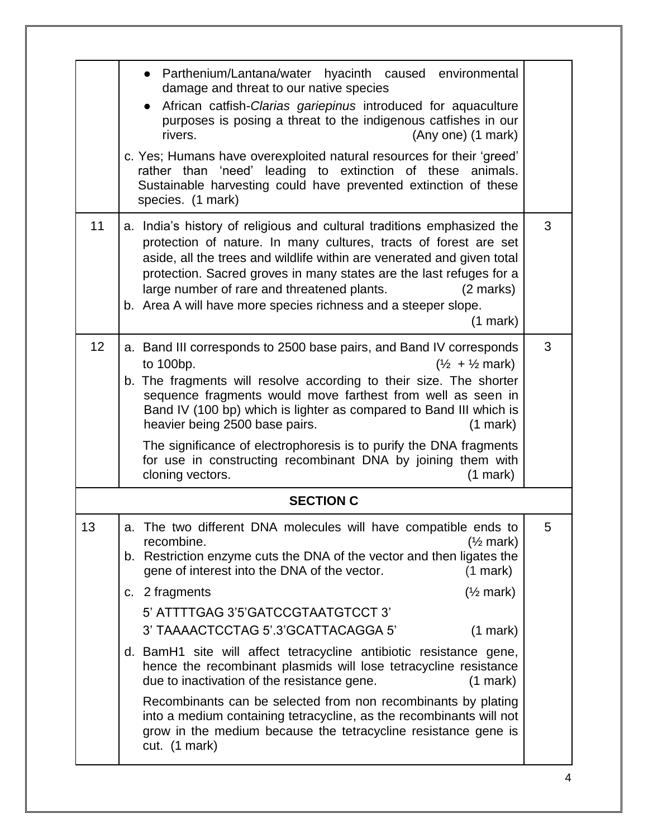| • Parthenium/Lantana/water hyacinth caused environmental<br>damage and threat to our native species<br>African catfish-Clarias gariepinus introduced for aquaculture<br>purposes is posing a threat to the indigenous catfishes in our<br>rivers.<br>(Any one) (1 mark)<br>c. Yes; Humans have overexploited natural resources for their 'greed'<br>rather than 'need' leading to extinction of these<br>animals.<br>Sustainable harvesting could have prevented extinction of these<br>species. (1 mark)                                                                                                                                                                                                                                                                                                              |   |  |  |
|------------------------------------------------------------------------------------------------------------------------------------------------------------------------------------------------------------------------------------------------------------------------------------------------------------------------------------------------------------------------------------------------------------------------------------------------------------------------------------------------------------------------------------------------------------------------------------------------------------------------------------------------------------------------------------------------------------------------------------------------------------------------------------------------------------------------|---|--|--|
| a. India's history of religious and cultural traditions emphasized the<br>protection of nature. In many cultures, tracts of forest are set<br>aside, all the trees and wildlife within are venerated and given total<br>protection. Sacred groves in many states are the last refuges for a<br>large number of rare and threatened plants.<br>$(2 \text{ marks})$<br>b. Area A will have more species richness and a steeper slope.<br>$(1$ mark)                                                                                                                                                                                                                                                                                                                                                                      | 3 |  |  |
| a. Band III corresponds to 2500 base pairs, and Band IV corresponds<br>to 100bp.<br>$(\frac{1}{2} + \frac{1}{2}$ mark)<br>b. The fragments will resolve according to their size. The shorter<br>sequence fragments would move farthest from well as seen in<br>Band IV (100 bp) which is lighter as compared to Band III which is<br>heavier being 2500 base pairs.<br>$(1$ mark $)$<br>The significance of electrophoresis is to purify the DNA fragments<br>for use in constructing recombinant DNA by joining them with<br>cloning vectors.<br>$(1$ mark $)$                                                                                                                                                                                                                                                        | 3 |  |  |
| <b>SECTION C</b>                                                                                                                                                                                                                                                                                                                                                                                                                                                                                                                                                                                                                                                                                                                                                                                                       |   |  |  |
| The two different DNA molecules will have compatible ends to<br>a.<br>recombine.<br>$(\frac{1}{2}$ mark)<br>b. Restriction enzyme cuts the DNA of the vector and then ligates the<br>gene of interest into the DNA of the vector.<br>$(1$ mark)<br>$(\frac{1}{2}$ mark)<br>c. 2 fragments<br>5' ATTTTGAG 3'5'GATCCGTAATGTCCT 3'<br>3' TAAAACTCCTAG 5'.3'GCATTACAGGA 5'<br>$(1$ mark)<br>d. BamH1 site will affect tetracycline antibiotic resistance gene,<br>hence the recombinant plasmids will lose tetracycline resistance<br>due to inactivation of the resistance gene.<br>$(1$ mark)<br>Recombinants can be selected from non recombinants by plating<br>into a medium containing tetracycline, as the recombinants will not<br>grow in the medium because the tetracycline resistance gene is<br>cut. (1 mark) | 5 |  |  |
|                                                                                                                                                                                                                                                                                                                                                                                                                                                                                                                                                                                                                                                                                                                                                                                                                        |   |  |  |